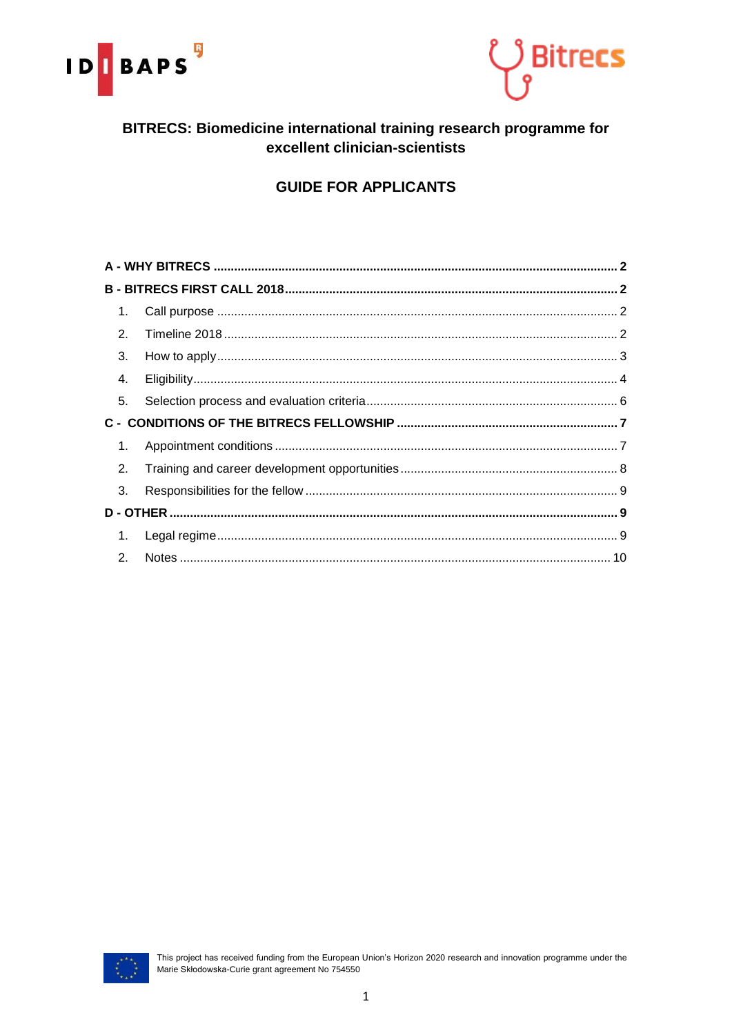



## BITRECS: Biomedicine international training research programme for excellent clinician-scientists

# **GUIDE FOR APPLICANTS**

| 1.             |  |  |  |  |  |
|----------------|--|--|--|--|--|
| 2.             |  |  |  |  |  |
| 3.             |  |  |  |  |  |
| 4.             |  |  |  |  |  |
| 5.             |  |  |  |  |  |
|                |  |  |  |  |  |
| 1.             |  |  |  |  |  |
| 2.             |  |  |  |  |  |
| 3.             |  |  |  |  |  |
|                |  |  |  |  |  |
| 1.             |  |  |  |  |  |
| 2 <sub>1</sub> |  |  |  |  |  |

<span id="page-0-0"></span>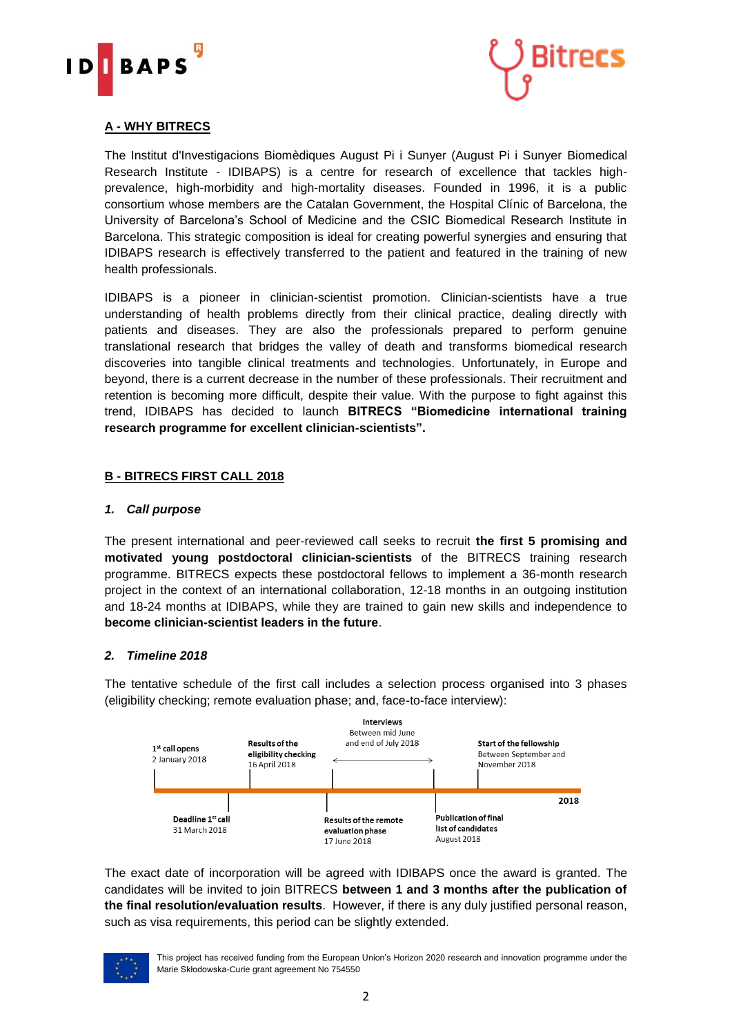



## **A - WHY BITRECS**

The Institut d'Investigacions Biomèdiques August Pi i Sunyer (August Pi i Sunyer Biomedical Research Institute - IDIBAPS) is a centre for research of excellence that tackles highprevalence, high-morbidity and high-mortality diseases. Founded in 1996, it is a public consortium whose members are the Catalan Government, the Hospital Clínic of Barcelona, the University of Barcelona's School of Medicine and the CSIC Biomedical Research Institute in Barcelona. This strategic composition is ideal for creating powerful synergies and ensuring that IDIBAPS research is effectively transferred to the patient and featured in the training of new health professionals.

IDIBAPS is a pioneer in clinician-scientist promotion. Clinician-scientists have a true understanding of health problems directly from their clinical practice, dealing directly with patients and diseases. They are also the professionals prepared to perform genuine translational research that bridges the valley of death and transforms biomedical research discoveries into tangible clinical treatments and technologies. Unfortunately, in Europe and beyond, there is a current decrease in the number of these professionals. Their recruitment and retention is becoming more difficult, despite their value. With the purpose to fight against this trend, IDIBAPS has decided to launch **BITRECS "Biomedicine international training research programme for excellent clinician-scientists".**

#### <span id="page-1-0"></span>**B - BITRECS FIRST CALL 2018**

#### <span id="page-1-1"></span>*1. Call purpose*

The present international and peer-reviewed call seeks to recruit **the first 5 promising and motivated young postdoctoral clinician-scientists** of the BITRECS training research programme. BITRECS expects these postdoctoral fellows to implement a 36-month research project in the context of an international collaboration, 12-18 months in an outgoing institution and 18-24 months at IDIBAPS, while they are trained to gain new skills and independence to **become clinician-scientist leaders in the future**.

#### <span id="page-1-2"></span>*2. Timeline 2018*

The tentative schedule of the first call includes a selection process organised into 3 phases (eligibility checking; remote evaluation phase; and, face-to-face interview):



The exact date of incorporation will be agreed with IDIBAPS once the award is granted. The candidates will be invited to join BITRECS **between 1 and 3 months after the publication of the final resolution/evaluation results**. However, if there is any duly justified personal reason, such as visa requirements, this period can be slightly extended.



This project has received funding from the European Union's Horizon 2020 research and innovation programme under the Marie Skłodowska-Curie grant agreement No 754550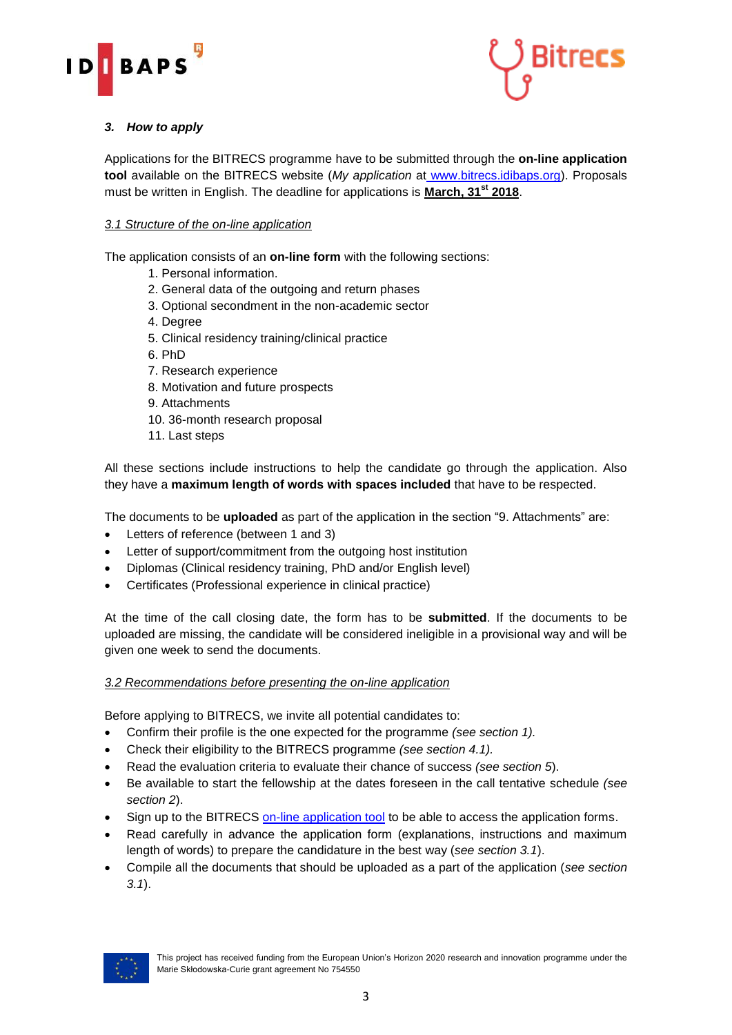



## <span id="page-2-0"></span>*3. How to apply*

Applications for the BITRECS programme have to be submitted through the **on-line application tool** available on the BITRECS website (*My application* at [www.bitrecs.idibaps.org\)](https://bitrecs.slideroom.com/#/Login). Proposals must be written in English. The deadline for applications is **March, 31st 2018**.

#### *3.1 Structure of the on-line application*

The application consists of an **on-line form** with the following sections:

- 1. Personal information.
- 2. General data of the outgoing and return phases
- 3. Optional secondment in the non-academic sector
- 4. Degree
- 5. Clinical residency training/clinical practice
- 6. PhD
- 7. Research experience
- 8. Motivation and future prospects
- 9. Attachments
- 10. 36-month research proposal
- 11. Last steps

All these sections include instructions to help the candidate go through the application. Also they have a **maximum length of words with spaces included** that have to be respected.

The documents to be **uploaded** as part of the application in the section "9. Attachments" are:

- Letters of reference (between 1 and 3)
- Letter of support/commitment from the outgoing host institution
- Diplomas (Clinical residency training, PhD and/or English level)
- Certificates (Professional experience in clinical practice)

At the time of the call closing date, the form has to be **submitted**. If the documents to be uploaded are missing, the candidate will be considered ineligible in a provisional way and will be given one week to send the documents.

#### *3.2 Recommendations before presenting the on-line application*

Before applying to BITRECS, we invite all potential candidates to:

- Confirm their profile is the one expected for the programme *(see section 1).*
- Check their eligibility to the BITRECS programme *(see section 4.1).*
- Read the evaluation criteria to evaluate their chance of success *(see section 5*).
- Be available to start the fellowship at the dates foreseen in the call tentative schedule *(see section 2*).
- Sign up to the BITRECS [on-line application tool](https://bitrecs.slideroom.com/#/login) to be able to access the application forms.
- Read carefully in advance the application form (explanations, instructions and maximum length of words) to prepare the candidature in the best way (*see section 3.1*).
- Compile all the documents that should be uploaded as a part of the application (*see section 3.1*).

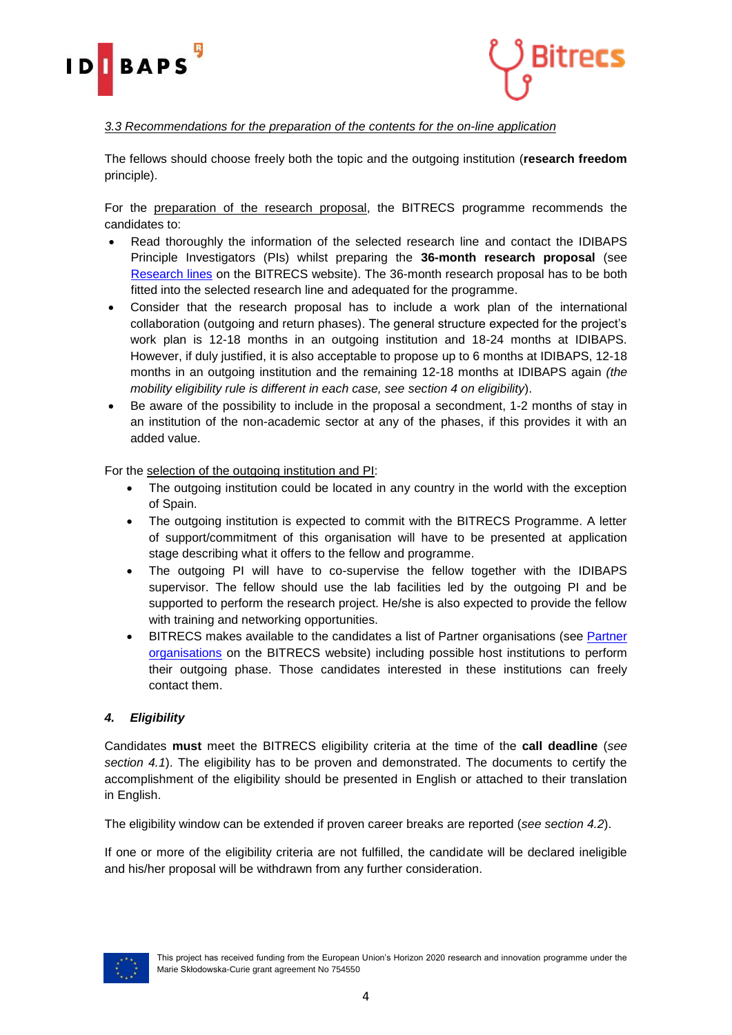



### *3.3 Recommendations for the preparation of the contents for the on-line application*

The fellows should choose freely both the topic and the outgoing institution (**research freedom** principle).

For the preparation of the research proposal, the BITRECS programme recommends the candidates to:

- Read thoroughly the information of the selected research line and contact the IDIBAPS Principle Investigators (PIs) whilst preparing the **36-month research proposal** (see [Research lines](http://bitrecs.idibaps.org/en/research-lines) on the BITRECS website). The 36-month research proposal has to be both fitted into the selected research line and adequated for the programme.
- Consider that the research proposal has to include a work plan of the international collaboration (outgoing and return phases). The general structure expected for the project's work plan is 12-18 months in an outgoing institution and 18-24 months at IDIBAPS. However, if duly justified, it is also acceptable to propose up to 6 months at IDIBAPS, 12-18 months in an outgoing institution and the remaining 12-18 months at IDIBAPS again *(the mobility eligibility rule is different in each case, see section 4 on eligibility*).
- Be aware of the possibility to include in the proposal a secondment, 1-2 months of stay in an institution of the non-academic sector at any of the phases, if this provides it with an added value.

For the selection of the outgoing institution and PI:

- The outgoing institution could be located in any country in the world with the exception of Spain.
- The outgoing institution is expected to commit with the BITRECS Programme. A letter of support/commitment of this organisation will have to be presented at application stage describing what it offers to the fellow and programme.
- The outgoing PI will have to co-supervise the fellow together with the IDIBAPS supervisor. The fellow should use the lab facilities led by the outgoing PI and be supported to perform the research project. He/she is also expected to provide the fellow with training and networking opportunities.
- BITRECS makes available to the candidates a list of Partner organisations (see [Partner](http://bitrecs.idibaps.org/en/partner-organisations)  [organisations](http://bitrecs.idibaps.org/en/partner-organisations) on the BITRECS website) including possible host institutions to perform their outgoing phase. Those candidates interested in these institutions can freely contact them.

#### <span id="page-3-0"></span>*4. Eligibility*

Candidates **must** meet the BITRECS eligibility criteria at the time of the **call deadline** (*see section 4.1*). The eligibility has to be proven and demonstrated. The documents to certify the accomplishment of the eligibility should be presented in English or attached to their translation in English.

The eligibility window can be extended if proven career breaks are reported (*see section 4.2*).

If one or more of the eligibility criteria are not fulfilled, the candidate will be declared ineligible and his/her proposal will be withdrawn from any further consideration.

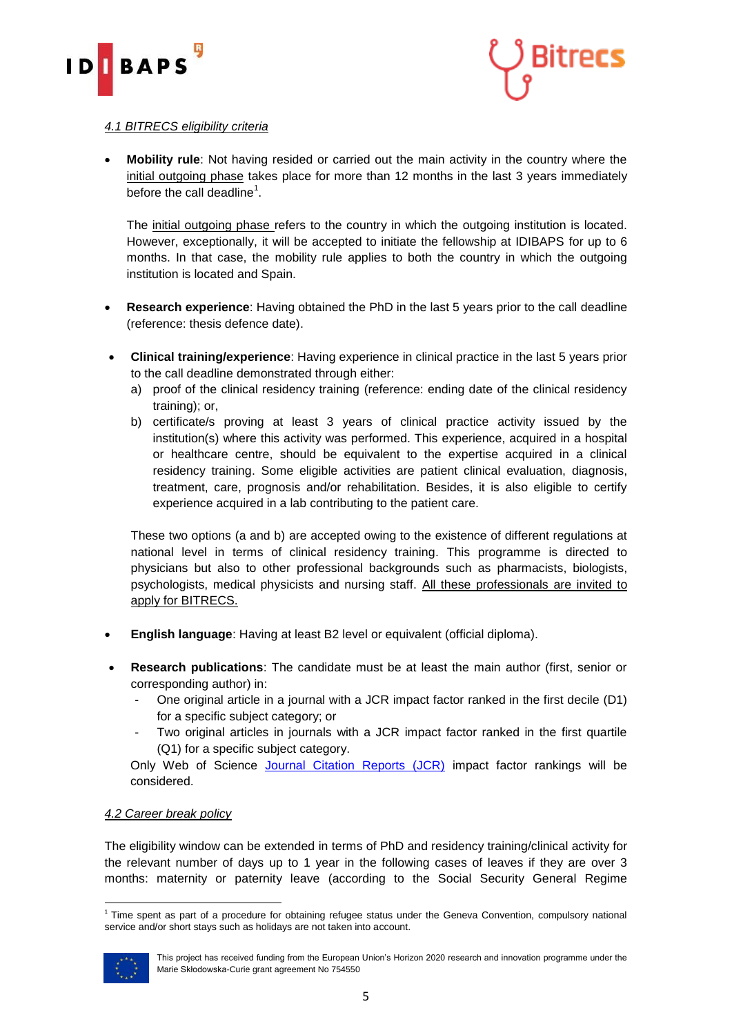



#### *4.1 BITRECS eligibility criteria*

 **Mobility rule**: Not having resided or carried out the main activity in the country where the initial outgoing phase takes place for more than 12 months in the last 3 years immediately before the call deadline<sup>1</sup>.

The initial outgoing phase refers to the country in which the outgoing institution is located. However, exceptionally, it will be accepted to initiate the fellowship at IDIBAPS for up to 6 months. In that case, the mobility rule applies to both the country in which the outgoing institution is located and Spain.

- **Research experience**: Having obtained the PhD in the last 5 years prior to the call deadline (reference: thesis defence date).
- **Clinical training/experience**: Having experience in clinical practice in the last 5 years prior to the call deadline demonstrated through either:
	- a) proof of the clinical residency training (reference: ending date of the clinical residency training); or,
	- b) certificate/s proving at least 3 years of clinical practice activity issued by the institution(s) where this activity was performed. This experience, acquired in a hospital or healthcare centre, should be equivalent to the expertise acquired in a clinical residency training. Some eligible activities are patient clinical evaluation, diagnosis, treatment, care, prognosis and/or rehabilitation. Besides, it is also eligible to certify experience acquired in a lab contributing to the patient care.

These two options (a and b) are accepted owing to the existence of different regulations at national level in terms of clinical residency training. This programme is directed to physicians but also to other professional backgrounds such as pharmacists, biologists, psychologists, medical physicists and nursing staff. All these professionals are invited to apply for BITRECS.

- **English language**: Having at least B2 level or equivalent (official diploma).
- **Research publications**: The candidate must be at least the main author (first, senior or corresponding author) in:
	- One original article in a journal with a JCR impact factor ranked in the first decile (D1) for a specific subject category; or
	- Two original articles in journals with a JCR impact factor ranked in the first quartile (Q1) for a specific subject category.

Only Web of Science [Journal Citation Reports \(JCR\)](https://jcr.incites.thomsonreuters.com/) impact factor rankings will be considered.

#### *4.2 Career break policy*

The eligibility window can be extended in terms of PhD and residency training/clinical activity for the relevant number of days up to 1 year in the following cases of leaves if they are over 3 months: maternity or paternity leave (according to the Social Security General Regime

<sup>1</sup> <sup>1</sup> Time spent as part of a procedure for obtaining refugee status under the Geneva Convention, compulsory national service and/or short stays such as holidays are not taken into account.



This project has received funding from the European Union's Horizon 2020 research and innovation programme under the Marie Skłodowska-Curie grant agreement No 754550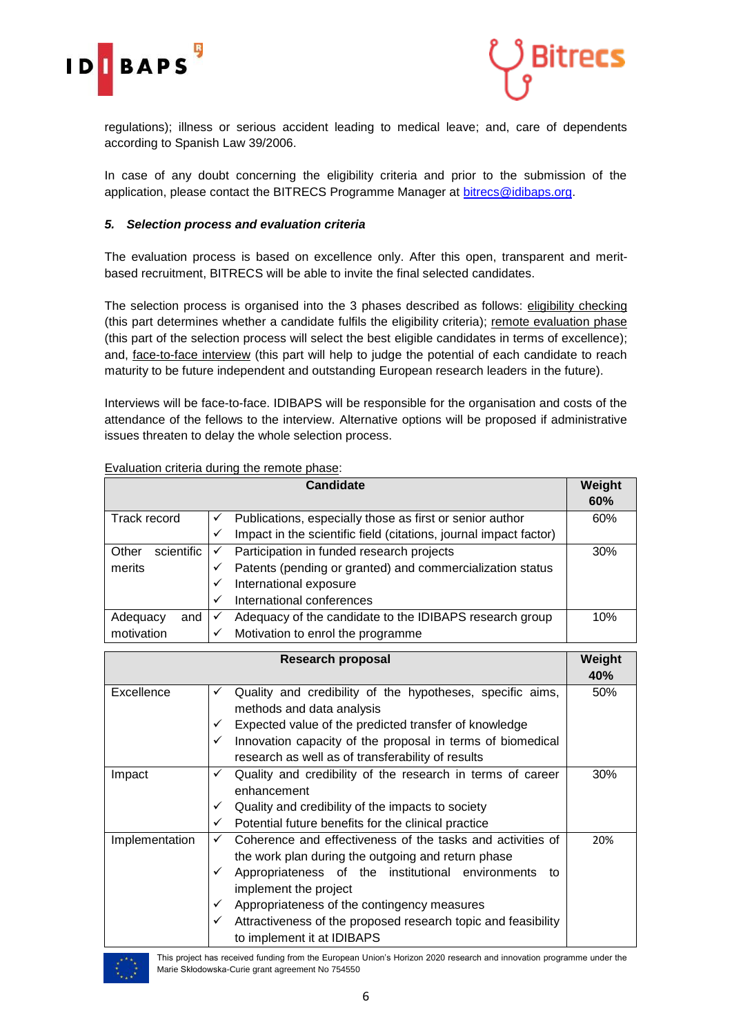



regulations); illness or serious accident leading to medical leave; and, care of dependents according to Spanish Law 39/2006.

In case of any doubt concerning the eligibility criteria and prior to the submission of the application, please contact the BITRECS Programme Manager at [bitrecs@idibaps.org.](mailto:bitrecs@idibaps.org)

#### <span id="page-5-0"></span>*5. Selection process and evaluation criteria*

The evaluation process is based on excellence only. After this open, transparent and meritbased recruitment, BITRECS will be able to invite the final selected candidates.

The selection process is organised into the 3 phases described as follows: eligibility checking (this part determines whether a candidate fulfils the eligibility criteria); remote evaluation phase (this part of the selection process will select the best eligible candidates in terms of excellence); and, face-to-face interview (this part will help to judge the potential of each candidate to reach maturity to be future independent and outstanding European research leaders in the future).

Interviews will be face-to-face. IDIBAPS will be responsible for the organisation and costs of the attendance of the fellows to the interview. Alternative options will be proposed if administrative issues threaten to delay the whole selection process.

| <b>Candidate</b>    |   |                                                                   |     |  |
|---------------------|---|-------------------------------------------------------------------|-----|--|
| Track record        | ✓ | Publications, especially those as first or senior author          | 60% |  |
|                     | ✓ | Impact in the scientific field (citations, journal impact factor) |     |  |
| Other<br>scientific | ✓ | Participation in funded research projects                         | 30% |  |
| merits              |   | Patents (pending or granted) and commercialization status         |     |  |
|                     | ✓ | International exposure                                            |     |  |
|                     | ✓ | International conferences                                         |     |  |
| Adequacy<br>and     | ✓ | Adequacy of the candidate to the IDIBAPS research group           | 10% |  |
| motivation          |   | Motivation to enrol the programme                                 |     |  |

#### Evaluation criteria during the remote phase:

|                | <b>Research proposal</b>                                                                                                                                                                                                                                                                                                                                               | Weight<br>40% |
|----------------|------------------------------------------------------------------------------------------------------------------------------------------------------------------------------------------------------------------------------------------------------------------------------------------------------------------------------------------------------------------------|---------------|
| Excellence     | Quality and credibility of the hypotheses, specific aims,<br>✓<br>methods and data analysis<br>Expected value of the predicted transfer of knowledge<br>✓<br>Innovation capacity of the proposal in terms of biomedical<br>✓<br>research as well as of transferability of results                                                                                      | 50%           |
| Impact         | Quality and credibility of the research in terms of career<br>✓<br>enhancement<br>Quality and credibility of the impacts to society<br>✓<br>Potential future benefits for the clinical practice<br>✓                                                                                                                                                                   | 30%           |
| Implementation | Coherence and effectiveness of the tasks and activities of<br>✓<br>the work plan during the outgoing and return phase<br>Appropriateness of the institutional environments<br>✓<br>to<br>implement the project<br>Appropriateness of the contingency measures<br>✓<br>Attractiveness of the proposed research topic and feasibility<br>✓<br>to implement it at IDIBAPS | 20%           |



This project has received funding from the European Union's Horizon 2020 research and innovation programme under the Marie Skłodowska-Curie grant agreement No 754550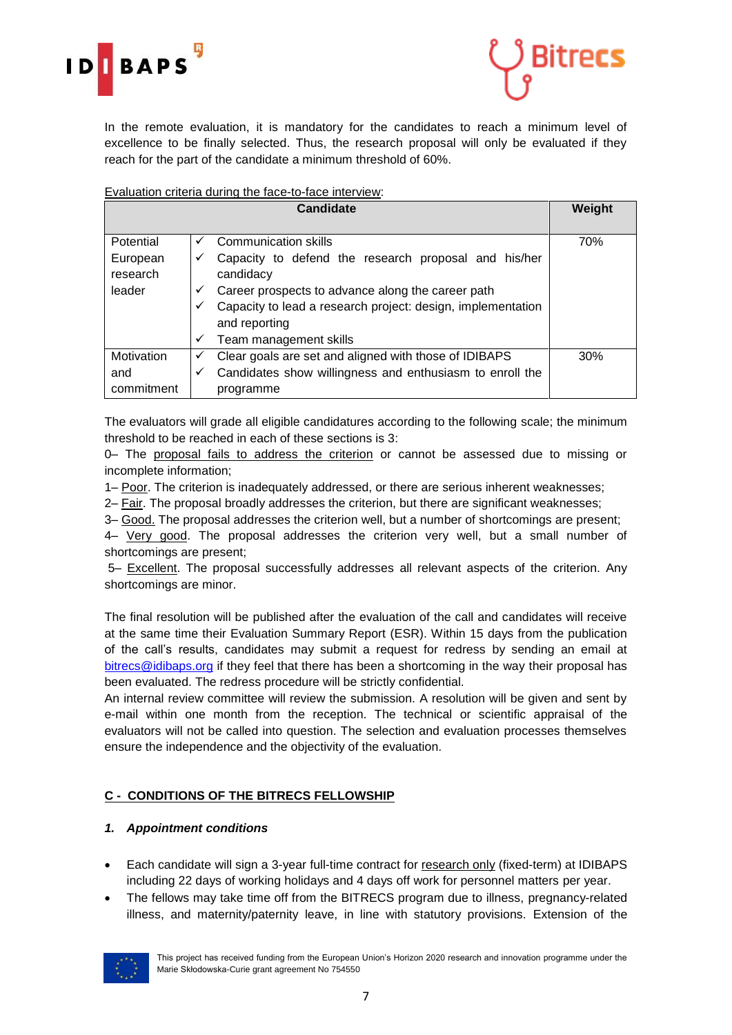



In the remote evaluation, it is mandatory for the candidates to reach a minimum level of excellence to be finally selected. Thus, the research proposal will only be evaluated if they reach for the part of the candidate a minimum threshold of 60%.

#### Evaluation criteria during the face-to-face interview:

|            | Weight |                                                             |     |
|------------|--------|-------------------------------------------------------------|-----|
|            |        |                                                             |     |
| Potential  | ✓      | <b>Communication skills</b>                                 | 70% |
| European   | ✓      | Capacity to defend the research proposal and his/her        |     |
| research   |        | candidacy                                                   |     |
| leader     | ✓      | Career prospects to advance along the career path           |     |
|            | ✓      | Capacity to lead a research project: design, implementation |     |
|            |        | and reporting                                               |     |
|            | ✓      | Team management skills                                      |     |
| Motivation | ✓      | Clear goals are set and aligned with those of IDIBAPS       | 30% |
| and        | ✓      | Candidates show willingness and enthusiasm to enroll the    |     |
| commitment |        | programme                                                   |     |

The evaluators will grade all eligible candidatures according to the following scale; the minimum threshold to be reached in each of these sections is 3:

0– The proposal fails to address the criterion or cannot be assessed due to missing or incomplete information;

1– Poor. The criterion is inadequately addressed, or there are serious inherent weaknesses;

2– Fair. The proposal broadly addresses the criterion, but there are significant weaknesses;

3– Good. The proposal addresses the criterion well, but a number of shortcomings are present;

4– Very good. The proposal addresses the criterion very well, but a small number of shortcomings are present;

5– Excellent. The proposal successfully addresses all relevant aspects of the criterion. Any shortcomings are minor.

The final resolution will be published after the evaluation of the call and candidates will receive at the same time their Evaluation Summary Report (ESR). Within 15 days from the publication of the call's results, candidates may submit a request for redress by sending an email at [bitrecs@idibaps.org](mailto:bitrecs@idibaps.org) if they feel that there has been a shortcoming in the way their proposal has been evaluated. The redress procedure will be strictly confidential.

An internal review committee will review the submission. A resolution will be given and sent by e-mail within one month from the reception. The technical or scientific appraisal of the evaluators will not be called into question. The selection and evaluation processes themselves ensure the independence and the objectivity of the evaluation.

## <span id="page-6-0"></span>**C - CONDITIONS OF THE BITRECS FELLOWSHIP**

#### <span id="page-6-1"></span>*1. Appointment conditions*

- Each candidate will sign a 3-year full-time contract for research only (fixed-term) at IDIBAPS including 22 days of working holidays and 4 days off work for personnel matters per year.
- The fellows may take time off from the BITRECS program due to illness, pregnancy-related illness, and maternity/paternity leave, in line with statutory provisions. Extension of the

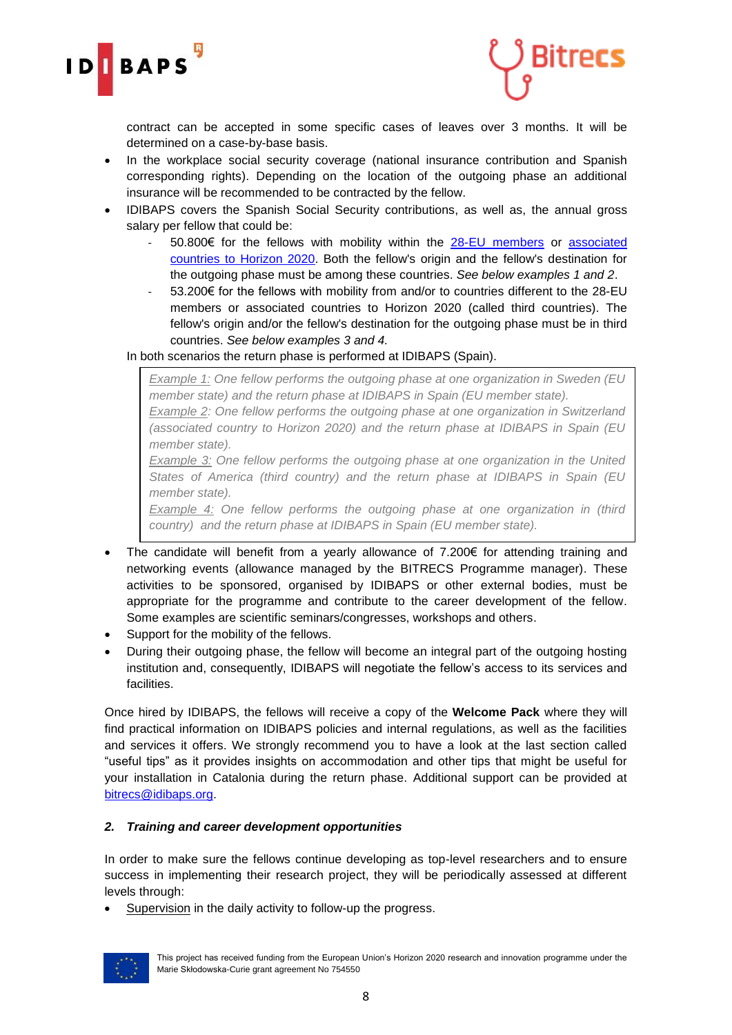



contract can be accepted in some specific cases of leaves over 3 months. It will be determined on a case-by-base basis.

- In the workplace social security coverage (national insurance contribution and Spanish corresponding rights). Depending on the location of the outgoing phase an additional insurance will be recommended to be contracted by the fellow.
- IDIBAPS covers the Spanish Social Security contributions, as well as, the annual gross salary per fellow that could be:
	- 50.800€ for the fellows with mobility within the [28-EU members](https://europa.eu/european-union/about-eu/countries_en) or associated countries [to Horizon 2020.](http://ec.europa.eu/research/participants/data/ref/h2020/grants_manual/hi/3cpart/h2020-hi-list-ac_en.pdf) Both the fellow's origin and the fellow's destination for the outgoing phase must be among these countries. *See below examples 1 and 2*.
	- 53.200€ for the fellows with mobility from and/or to countries different to the 28-EU members or associated countries to Horizon 2020 (called third countries). The fellow's origin and/or the fellow's destination for the outgoing phase must be in third countries. *See below examples 3 and 4.*

## In both scenarios the return phase is performed at IDIBAPS (Spain).

*Example 1: One fellow performs the outgoing phase at one organization in Sweden (EU member state) and the return phase at IDIBAPS in Spain (EU member state).*

*Example 2: One fellow performs the outgoing phase at one organization in Switzerland (associated country to Horizon 2020) and the return phase at IDIBAPS in Spain (EU member state).*

*Example 3: One fellow performs the outgoing phase at one organization in the United States of America (third country) and the return phase at IDIBAPS in Spain (EU member state).*

*Example 4: One fellow performs the outgoing phase at one organization in (third country) and the return phase at IDIBAPS in Spain (EU member state).*

- The candidate will benefit from a yearly allowance of  $7.200 \epsilon$  for attending training and networking events (allowance managed by the BITRECS Programme manager). These activities to be sponsored, organised by IDIBAPS or other external bodies, must be appropriate for the programme and contribute to the career development of the fellow. Some examples are scientific seminars/congresses, workshops and others.
- Support for the mobility of the fellows.
- During their outgoing phase, the fellow will become an integral part of the outgoing hosting institution and, consequently, IDIBAPS will negotiate the fellow's access to its services and **facilities**

Once hired by IDIBAPS, the fellows will receive a copy of the **Welcome Pack** where they will find practical information on IDIBAPS policies and internal regulations, as well as the facilities and services it offers. We strongly recommend you to have a look at the last section called "useful tips" as it provides insights on accommodation and other tips that might be useful for your installation in Catalonia during the return phase. Additional support can be provided at [bitrecs@idibaps.org.](mailto:bitrecs@idibaps.org)

#### <span id="page-7-0"></span>*2. Training and career development opportunities*

In order to make sure the fellows continue developing as top-level researchers and to ensure success in implementing their research project, they will be periodically assessed at different levels through:

Supervision in the daily activity to follow-up the progress.

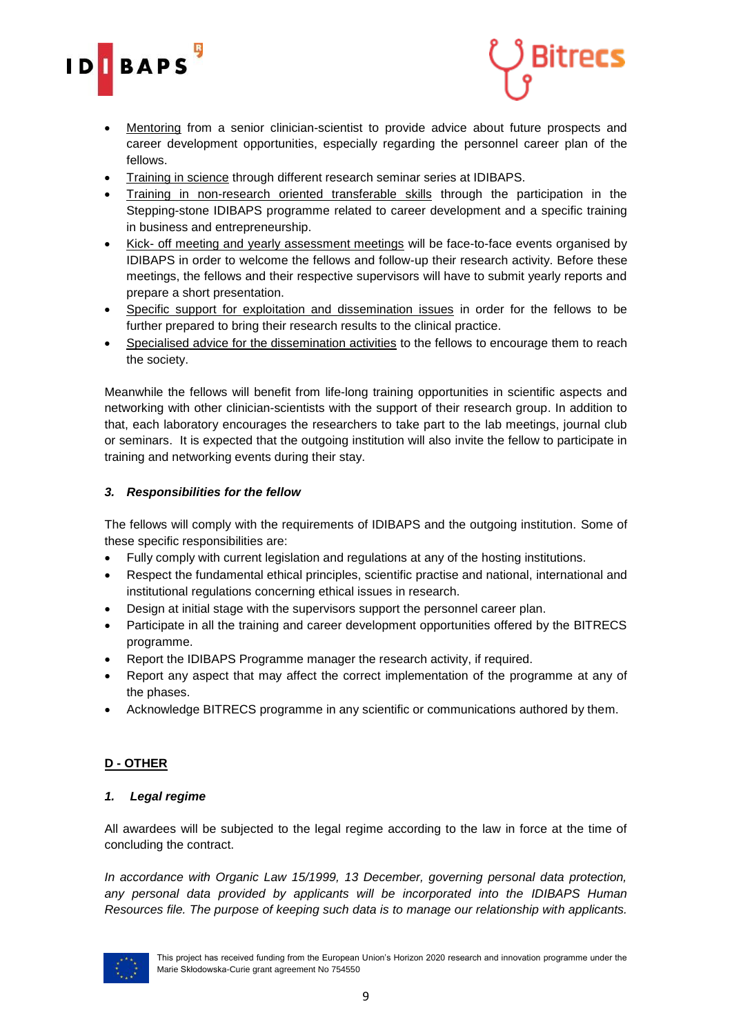



- Mentoring from a senior clinician-scientist to provide advice about future prospects and career development opportunities, especially regarding the personnel career plan of the fellows.
- Training in science through different research seminar series at IDIBAPS.
- Training in non-research oriented transferable skills through the participation in the Stepping-stone IDIBAPS programme related to career development and a specific training in business and entrepreneurship.
- Kick- off meeting and yearly assessment meetings will be face-to-face events organised by IDIBAPS in order to welcome the fellows and follow-up their research activity. Before these meetings, the fellows and their respective supervisors will have to submit yearly reports and prepare a short presentation.
- Specific support for exploitation and dissemination issues in order for the fellows to be further prepared to bring their research results to the clinical practice.
- Specialised advice for the dissemination activities to the fellows to encourage them to reach the society.

Meanwhile the fellows will benefit from life-long training opportunities in scientific aspects and networking with other clinician-scientists with the support of their research group. In addition to that, each laboratory encourages the researchers to take part to the lab meetings, journal club or seminars. It is expected that the outgoing institution will also invite the fellow to participate in training and networking events during their stay.

### <span id="page-8-0"></span>*3. Responsibilities for the fellow*

The fellows will comply with the requirements of IDIBAPS and the outgoing institution. Some of these specific responsibilities are:

- Fully comply with current legislation and regulations at any of the hosting institutions.
- Respect the fundamental ethical principles, scientific practise and national, international and institutional regulations concerning ethical issues in research.
- Design at initial stage with the supervisors support the personnel career plan.
- Participate in all the training and career development opportunities offered by the BITRECS programme.
- Report the IDIBAPS Programme manager the research activity, if required.
- Report any aspect that may affect the correct implementation of the programme at any of the phases.
- Acknowledge BITRECS programme in any scientific or communications authored by them.

## <span id="page-8-1"></span>**D - OTHER**

#### <span id="page-8-2"></span>*1. Legal regime*

All awardees will be subjected to the legal regime according to the law in force at the time of concluding the contract.

*In accordance with Organic Law 15/1999, 13 December, governing personal data protection, any personal data provided by applicants will be incorporated into the IDIBAPS Human Resources file. The purpose of keeping such data is to manage our relationship with applicants.*